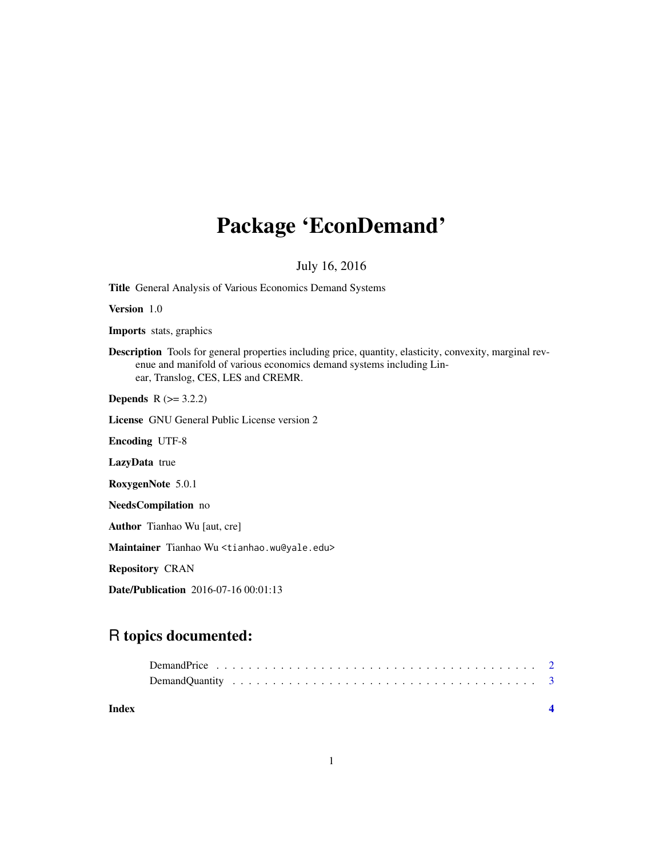## Package 'EconDemand'

July 16, 2016

Title General Analysis of Various Economics Demand Systems

Version 1.0

Imports stats, graphics

Description Tools for general properties including price, quantity, elasticity, convexity, marginal revenue and manifold of various economics demand systems including Linear, Translog, CES, LES and CREMR.

**Depends**  $R$  ( $>= 3.2.2$ )

License GNU General Public License version 2

Encoding UTF-8

LazyData true

RoxygenNote 5.0.1

NeedsCompilation no

Author Tianhao Wu [aut, cre]

Maintainer Tianhao Wu <tianhao.wu@yale.edu>

Repository CRAN

Date/Publication 2016-07-16 00:01:13

### R topics documented:

**Index** [4](#page-3-0)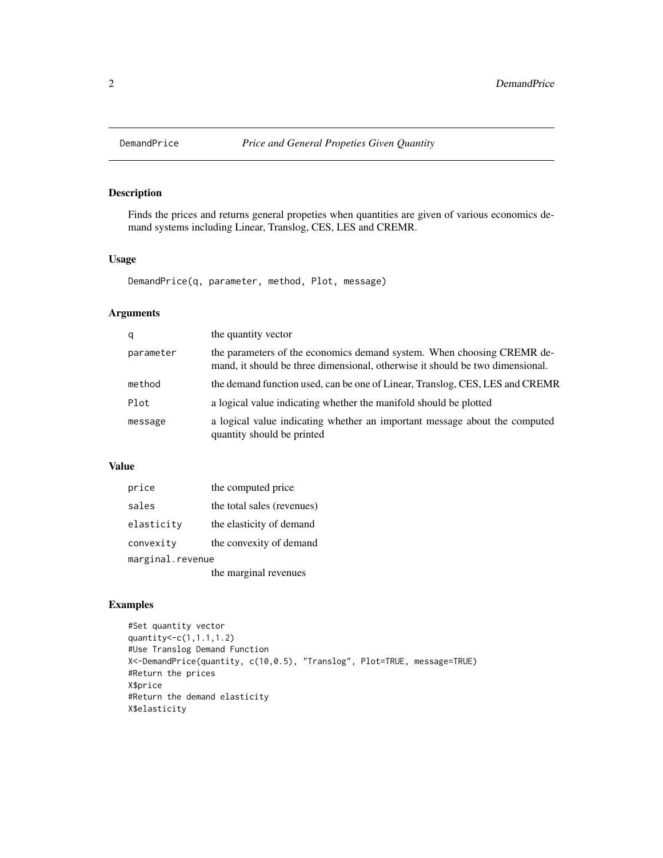<span id="page-1-0"></span>

#### Description

Finds the prices and returns general propeties when quantities are given of various economics demand systems including Linear, Translog, CES, LES and CREMR.

#### Usage

DemandPrice(q, parameter, method, Plot, message)

#### Arguments

| q         | the quantity vector                                                                                                                                     |
|-----------|---------------------------------------------------------------------------------------------------------------------------------------------------------|
| parameter | the parameters of the economics demand system. When choosing CREMR de-<br>mand, it should be three dimensional, otherwise it should be two dimensional. |
| method    | the demand function used, can be one of Linear, Translog, CES, LES and CREMR                                                                            |
| Plot      | a logical value indicating whether the manifold should be plotted                                                                                       |
| message   | a logical value indicating whether an important message about the computed<br>quantity should be printed                                                |

#### Value

| price            | the computed price         |  |
|------------------|----------------------------|--|
| sales            | the total sales (revenues) |  |
| elasticity       | the elasticity of demand   |  |
| convexity        | the convexity of demand    |  |
| marginal.revenue |                            |  |
|                  | the marginal revenues      |  |

#### Examples

```
#Set quantity vector
quantity<-c(1,1.1,1.2)
#Use Translog Demand Function
X<-DemandPrice(quantity, c(10,0.5), "Translog", Plot=TRUE, message=TRUE)
#Return the prices
X$price
#Return the demand elasticity
X$elasticity
```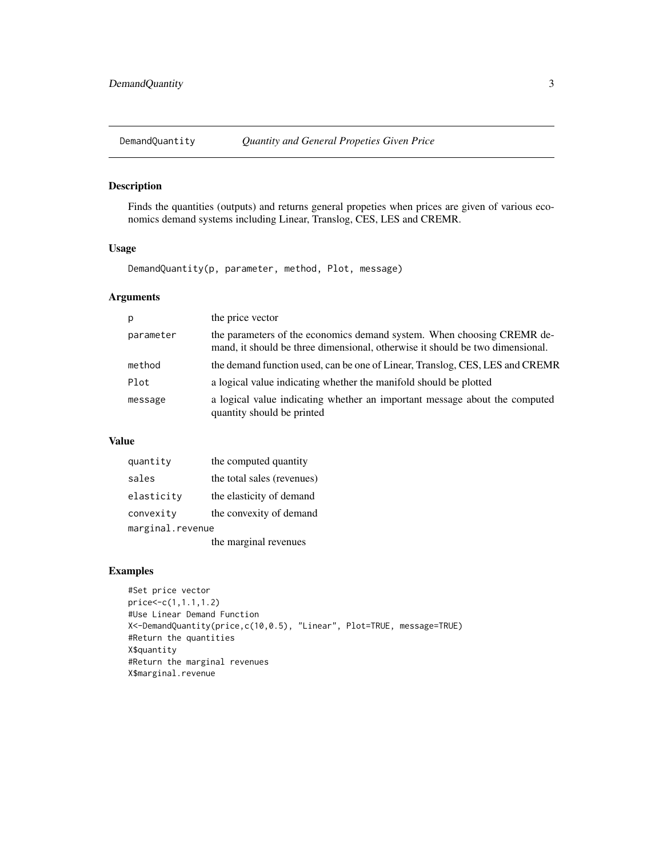<span id="page-2-0"></span>

#### Description

Finds the quantities (outputs) and returns general propeties when prices are given of various economics demand systems including Linear, Translog, CES, LES and CREMR.

#### Usage

DemandQuantity(p, parameter, method, Plot, message)

#### Arguments

| p         | the price vector                                                                                                                                        |
|-----------|---------------------------------------------------------------------------------------------------------------------------------------------------------|
| parameter | the parameters of the economics demand system. When choosing CREMR de-<br>mand, it should be three dimensional, otherwise it should be two dimensional. |
| method    | the demand function used, can be one of Linear, Translog, CES, LES and CREMR                                                                            |
| Plot      | a logical value indicating whether the manifold should be plotted                                                                                       |
| message   | a logical value indicating whether an important message about the computed<br>quantity should be printed                                                |

#### Value

| quantity         | the computed quantity      |  |
|------------------|----------------------------|--|
| sales            | the total sales (revenues) |  |
| elasticity       | the elasticity of demand   |  |
| convexity        | the convexity of demand    |  |
| marginal.revenue |                            |  |
|                  | the marginal revenues      |  |

#### Examples

```
#Set price vector
price<-c(1,1.1,1.2)
#Use Linear Demand Function
X<-DemandQuantity(price,c(10,0.5), "Linear", Plot=TRUE, message=TRUE)
#Return the quantities
X$quantity
#Return the marginal revenues
X$marginal.revenue
```